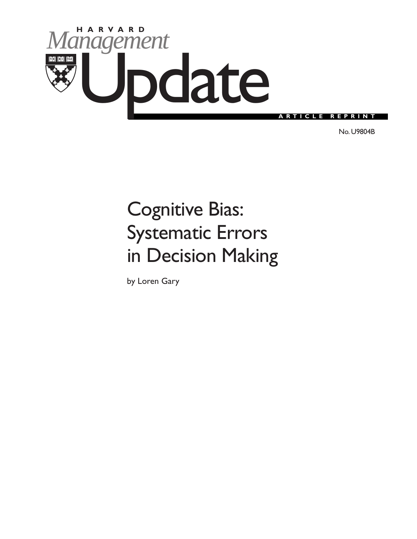

No. U9804B

## Cognitive Bias: Systematic Errors in Decision Making

by Loren Gary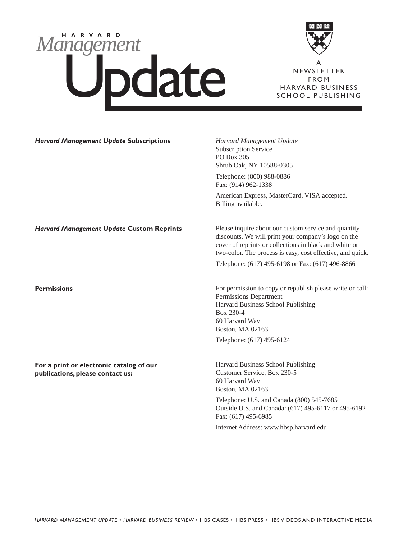# *Management* Update **HAR V ARD**



*Harvard Management Update* **Subscriptions** *Harvard Management Update* **Custom Reprints Permissions For a print or electronic catalog of our publications, please contact us:** *Harvard Management Update* Subscription Service PO Box 305 Shrub Oak, NY 10588-0305 Telephone: (800) 988-0886 Fax: (914) 962-1338 American Express, MasterCard, VISA accepted. Billing available. Please inquire about our custom service and quantity discounts. We will print your company's logo on the cover of reprints or collections in black and white or two-color. The process is easy, cost effective, and quick. Telephone: (617) 495-6198 or Fax: (617) 496-8866 For permission to copy or republish please write or call: Permissions Department Harvard Business School Publishing Box 230-4 60 Harvard Way Boston, MA 02163 Telephone: (617) 495-6124 Harvard Business School Publishing Customer Service, Box 230-5 60 Harvard Way Boston, MA 02163 Telephone: U.S. and Canada (800) 545-7685 Outside U.S. and Canada: (617) 495-6117 or 495-6192 Fax: (617) 495-6985

Internet Address: www.hbsp.harvard.edu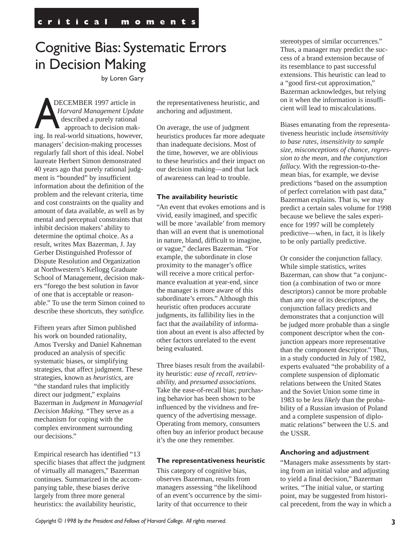## Cognitive Bias: Systematic Errors in Decision Making

by Loren Gary

DECEMBER 1997 article in *Harvard Management Update* described a purely rational approach to decision mak-DECEMBER 1997 article in<br>
Harvard Management Update<br>
described a purely rational<br>
approach to decision mak-<br>
ing. In real-world situations, however, managers' decision-making processes regularly fall short of this ideal. Nobel laureate Herbert Simon demonstrated 40 years ago that purely rational judgment is "bounded" by insufficient information about the definition of the problem and the relevant criteria, time and cost constraints on the quality and amount of data available, as well as by mental and perceptual constraints that inhibit decision makers' ability to determine the optimal choice. As a result, writes Max Bazerman, J. Jay Gerber Distinguished Professor of Dispute Resolution and Organization at Northwestern's Kellogg Graduate School of Management, decision makers "forego the best solution in favor of one that is acceptable or reasonable." To use the term Simon coined to describe these shortcuts, they *satisfice.* 

Fifteen years after Simon published his work on bounded rationality, Amos Tversky and Daniel Kahneman produced an analysis of specific systematic biases, or simplifying strategies, that affect judgment. These strategies, known as *heuristics,* are "the standard rules that implicitly direct our judgment," explains Bazerman in *Judgment in Managerial Decision Making.* "They serve as a mechanism for coping with the complex environment surrounding our decisions."

Empirical research has identified "13 specific biases that affect the judgment of virtually all managers," Bazerman continues. Summarized in the accompanying table, these biases derive largely from three more general heuristics: the availability heuristic,

the representativeness heuristic, and anchoring and adjustment.

On average, the use of judgment heuristics produces far more adequate than inadequate decisions. Most of the time, however, we are oblivious to these heuristics and their impact on our decision making—and that lack of awareness can lead to trouble.

#### **The availability heuristic**

"An event that evokes emotions and is vivid, easily imagined, and specific will be more 'available' from memory than will an event that is unemotional in nature, bland, difficult to imagine, or vague," declares Bazerman. "For example, the subordinate in close proximity to the manager's office will receive a more critical performance evaluation at year-end, since the manager is more aware of this subordinate's errors." Although this heuristic often produces accurate judgments, its fallibility lies in the fact that the availability of information about an event is also affected by other factors unrelated to the event being evaluated.

Three biases result from the availability heuristic: *ease of recall, retrievability,* and *presumed associations.* Take the ease-of-recall bias; purchasing behavior has been shown to be influenced by the vividness and frequency of the advertising message. Operating from memory, consumers often buy an inferior product because it's the one they remember.

#### **The representativeness heuristic**

This category of cognitive bias, observes Bazerman, results from managers assessing "the likelihood of an event's occurrence by the similarity of that occurrence to their

stereotypes of similar occurrences." Thus, a manager may predict the success of a brand extension because of its resemblance to past successful extensions. This heuristic can lead to a "good first-cut approximation," Bazerman acknowledges, but relying on it when the information is insufficient will lead to miscalculations.

Biases emanating from the representativeness heuristic include *insensitivity to base rates, insensitivity to sample size, misconceptions of chance, regression to the mean,* and *the conjunction fallacy.* With the regression-to-themean bias, for example, we devise predictions "based on the assumption of perfect correlation with past data," Bazerman explains. That is, we may predict a certain sales volume for 1998 because we believe the sales experience for 1997 will be completely predictive—when, in fact, it is likely to be only partially predictive.

Or consider the conjunction fallacy. While simple statistics, writes Bazerman, can show that "a conjunction (a combination of two or more descriptors) cannot be more probable than any one of its descriptors, the conjunction fallacy predicts and demonstrates that a conjunction will be judged more probable than a single component descriptor when the conjunction appears more representative than the component descriptor." Thus, in a study conducted in July of 1982, experts evaluated "the probability of a complete suspension of diplomatic relations between the United States and the Soviet Union some time in 1983 to be *less likely* than the probability of a Russian invasion of Poland and a complete suspension of diplomatic relations" between the U.S. and the USSR.

#### **Anchoring and adjustment**

"Managers make assessments by starting from an initial value and adjusting to yield a final decision," Bazerman writes. "The initial value, or starting point, may be suggested from historical precedent, from the way in which a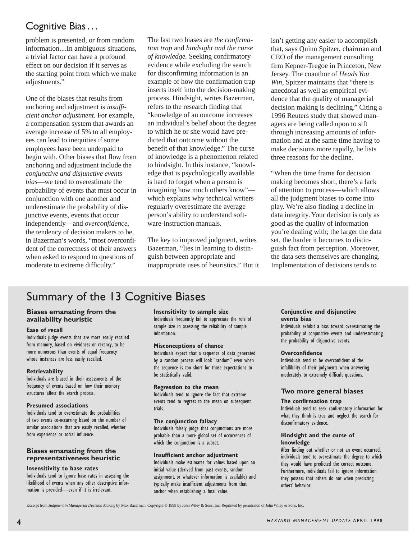### Cognitive Bias...

problem is presented, or from random information....In ambiguous situations, a trivial factor can have a profound effect on our decision if it serves as the starting point from which we make adjustments."

One of the biases that results from anchoring and adjustment is *insufficient anchor adjustment.* For example, a compensation system that awards an average increase of 5% to all employees can lead to inequities if some employees have been underpaid to begin with. Other biases that flow from anchoring and adjustment include the *conjunctive and disjunctive events bias*—we tend to overestimate the probability of events that must occur in conjunction with one another and underestimate the probability of disjunctive events, events that occur independently—and *overconfidence,* the tendency of decision makers to be, in Bazerman's words, "most overconfident of the correctness of their answers when asked to respond to questions of moderate to extreme difficulty."

The last two biases are *the confirmation trap* and *hindsight and the curse of knowledge.* Seeking confirmatory evidence while excluding the search for disconfirming information is an example of how the confirmation trap inserts itself into the decision-making process. Hindsight, writes Bazerman, refers to the research finding that "knowledge of an outcome increases an individual's belief about the degree to which he or she would have predicted that outcome without the benefit of that knowledge." The curse of knowledge is a phenomenon related to hindsight. In this instance, "knowledge that is psychologically available is hard to forget when a person is imagining how much others know" which explains why technical writers regularly overestimate the average person's ability to understand software-instruction manuals.

The key to improved judgment, writes Bazerman, "lies in learning to distinguish between appropriate and inappropriate uses of heuristics." But it isn't getting any easier to accomplish that, says Quinn Spitzer, chairman and CEO of the management consulting firm Kepner-Tregoe in Princeton, New Jersey. The coauthor of *Heads You Win,* Spitzer maintains that "there is anecdotal as well as empirical evidence that the quality of managerial decision making is declining." Citing a 1996 Reuters study that showed managers are being called upon to sift through increasing amounts of information and at the same time having to make decisions more rapidly, he lists three reasons for the decline.

"When the time frame for decision making becomes short, there's a lack of attention to process—which allows all the judgment biases to come into play. We're also finding a decline in data integrity. Your decision is only as good as the quality of information you're dealing with; the larger the data set, the harder it becomes to distinguish fact from perception. Moreover, the data sets themselves are changing. Implementation of decisions tends to

## Summary of the 13 Cognitive Biases

#### **Biases emanating from the availability heuristic**

#### **Ease of recall**

Individuals judge events that are more easily recalled from memory, based on vividness or recency, to be more numerous than events of equal frequency whose instances are less easily recalled.

#### **Retrievability**

Individuals are biased in their assessments of the frequency of events based on how their memory structures affect the search process.

#### **Presumed associations**

Individuals tend to overestimate the probabilities of two events co-occurring based on the number of similar associations that are easily recalled, whether from experience or social influence.

#### **Biases emanating from the representativeness heuristic**

#### **Insensitivity to base rates**

Individuals tend to ignore base rates in assessing the likelihood of events when any other descriptive information is provided—even if it is irrelevant.

#### **Insensitivity to sample size**

Individuals frequently fail to appreciate the role of sample size in assessing the reliability of sample information.

#### **Misconceptions of chance**

Individuals expect that a sequence of data generated by a random process will look "random," even when the sequence is too short for those expectations to be statistically valid.

#### **Regression to the mean**

Individuals tend to ignore the fact that extreme events tend to regress to the mean on subsequent trials.

#### **The conjunction fallacy**

Individuals falsely judge that conjunctions are more probable than a more global set of occurrences of which the conjunction is a subset.

#### **Insufficient anchor adjustment**

Individuals make estimates for values based upon an initial value (derived from past events, random assignment, or whatever information is available) and typically make insufficient adjustments from that anchor when establishing a final value.

#### **Conjunctive and disjunctive events bias**

Individuals exhibit a bias toward overestimating the probability of conjunctive events and underestimating the probability of disjunctive events.

#### **Overconfidence**

Individuals tend to be overconfident of the infallibility of their judgments when answering moderately to extremely difficult questions.

#### **Two more general biases**

#### **The confirmation trap**

Individuals tend to seek confirmatory information for what they think is true and neglect the search for disconfirmatory evidence.

#### **Hindsight and the curse of knowledge**

After finding out whether or not an event occurred, individuals tend to overestimate the degree to which they would have predicted the correct outcome. Furthermore, individuals fail to ignore information they possess that others do not when predicting others' behavior.

Excerpt from *Judgment in Managerial Decision Making* by Max Bazerman. Copyright © 1998 by John Wiley & Sons, Inc. Reprinted by permission of John Wiley & Sons, Inc.